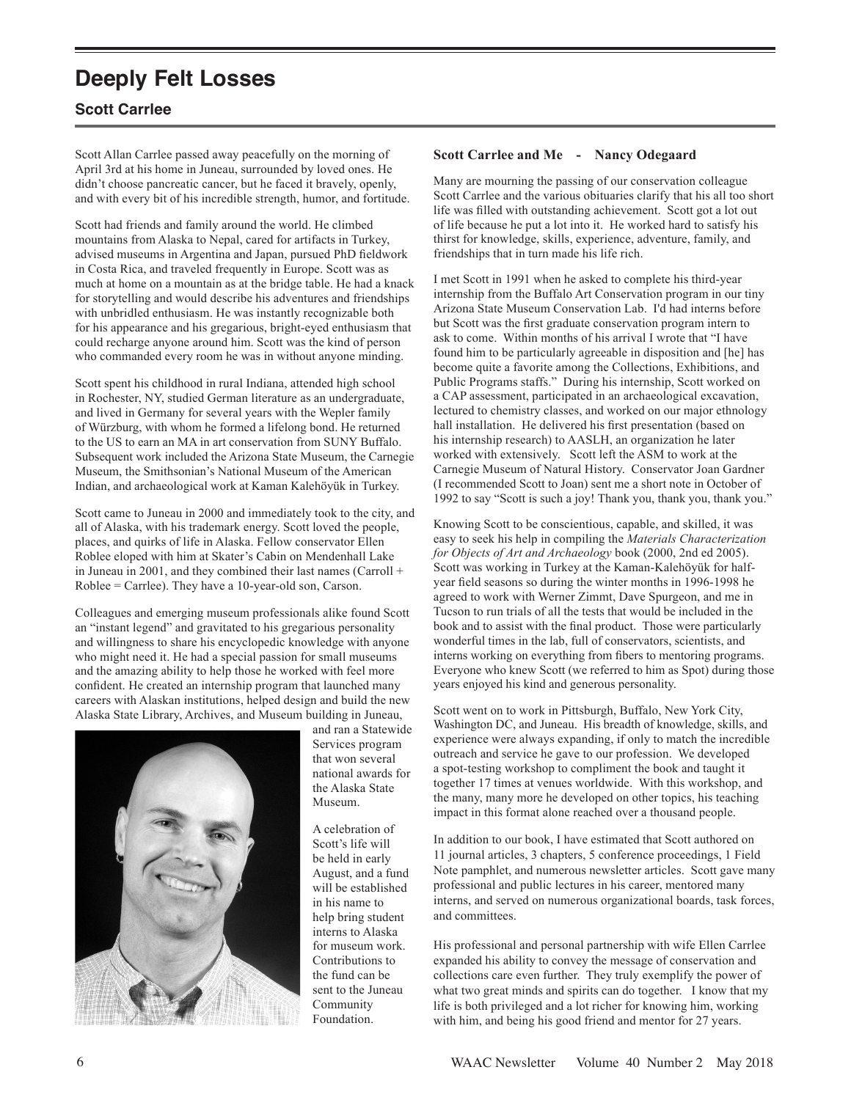# **Deeply Felt Losses**

## **Scott Carrlee**

Scott Allan Carrlee passed away peacefully on the morning of April 3rd at his home in Juneau, surrounded by loved ones. He didn't choose pancreatic cancer, but he faced it bravely, openly, and with every bit of his incredible strength, humor, and fortitude.

Scott had friends and family around the world. He climbed mountains from Alaska to Nepal, cared for artifacts in Turkey, advised museums in Argentina and Japan, pursued PhD fieldwork in Costa Rica, and traveled frequently in Europe. Scott was as much at home on a mountain as at the bridge table. He had a knack for storytelling and would describe his adventures and friendships with unbridled enthusiasm. He was instantly recognizable both for his appearance and his gregarious, bright-eyed enthusiasm that could recharge anyone around him. Scott was the kind of person who commanded every room he was in without anyone minding.

Scott spent his childhood in rural Indiana, attended high school in Rochester, NY, studied German literature as an undergraduate, and lived in Germany for several years with the Wepler family of Würzburg, with whom he formed a lifelong bond. He returned to the US to earn an MA in art conservation from SUNY Buffalo. Subsequent work included the Arizona State Museum, the Carnegie Museum, the Smithsonian's National Museum of the American Indian, and archaeological work at Kaman Kalehöyük in Turkey.

Scott came to Juneau in 2000 and immediately took to the city, and all of Alaska, with his trademark energy. Scott loved the people, places, and quirks of life in Alaska. Fellow conservator Ellen Roblee eloped with him at Skater's Cabin on Mendenhall Lake in Juneau in 2001, and they combined their last names (Carroll + Roblee = Carrlee). They have a 10-year-old son, Carson.

Colleagues and emerging museum professionals alike found Scott an "instant legend" and gravitated to his gregarious personality and willingness to share his encyclopedic knowledge with anyone who might need it. He had a special passion for small museums and the amazing ability to help those he worked with feel more confident. He created an internship program that launched many careers with Alaskan institutions, helped design and build the new Alaska State Library, Archives, and Museum building in Juneau,



and ran a Statewide Services program that won several national awards for the Alaska State Museum.

A celebration of Scott's life will be held in early August, and a fund will be established in his name to help bring student interns to Alaska for museum work. Contributions to the fund can be sent to the Juneau Community Foundation.

#### **Scott Carrlee and Me - Nancy Odegaard**

Many are mourning the passing of our conservation colleague Scott Carrlee and the various obituaries clarify that his all too short life was filled with outstanding achievement. Scott got a lot out of life because he put a lot into it. He worked hard to satisfy his thirst for knowledge, skills, experience, adventure, family, and friendships that in turn made his life rich.

I met Scott in 1991 when he asked to complete his third-year internship from the Buffalo Art Conservation program in our tiny Arizona State Museum Conservation Lab. I'd had interns before but Scott was the first graduate conservation program intern to ask to come. Within months of his arrival I wrote that "I have found him to be particularly agreeable in disposition and [he] has become quite a favorite among the Collections, Exhibitions, and Public Programs staffs." During his internship, Scott worked on a CAP assessment, participated in an archaeological excavation, lectured to chemistry classes, and worked on our major ethnology hall installation. He delivered his first presentation (based on his internship research) to AASLH, an organization he later worked with extensively. Scott left the ASM to work at the Carnegie Museum of Natural History. Conservator Joan Gardner (I recommended Scott to Joan) sent me a short note in October of 1992 to say "Scott is such a joy! Thank you, thank you, thank you."

Knowing Scott to be conscientious, capable, and skilled, it was easy to seek his help in compiling the *Materials Characterization for Objects of Art and Archaeology* book (2000, 2nd ed 2005). Scott was working in Turkey at the Kaman-Kalehöyük for halfyear field seasons so during the winter months in 1996-1998 he agreed to work with Werner Zimmt, Dave Spurgeon, and me in Tucson to run trials of all the tests that would be included in the book and to assist with the final product. Those were particularly wonderful times in the lab, full of conservators, scientists, and interns working on everything from fibers to mentoring programs. Everyone who knew Scott (we referred to him as Spot) during those years enjoyed his kind and generous personality.

Scott went on to work in Pittsburgh, Buffalo, New York City, Washington DC, and Juneau. His breadth of knowledge, skills, and experience were always expanding, if only to match the incredible outreach and service he gave to our profession. We developed a spot-testing workshop to compliment the book and taught it together 17 times at venues worldwide. With this workshop, and the many, many more he developed on other topics, his teaching impact in this format alone reached over a thousand people.

In addition to our book, I have estimated that Scott authored on 11 journal articles, 3 chapters, 5 conference proceedings, 1 Field Note pamphlet, and numerous newsletter articles. Scott gave many professional and public lectures in his career, mentored many interns, and served on numerous organizational boards, task forces, and committees.

His professional and personal partnership with wife Ellen Carrlee expanded his ability to convey the message of conservation and collections care even further. They truly exemplify the power of what two great minds and spirits can do together. I know that my life is both privileged and a lot richer for knowing him, working with him, and being his good friend and mentor for 27 years.